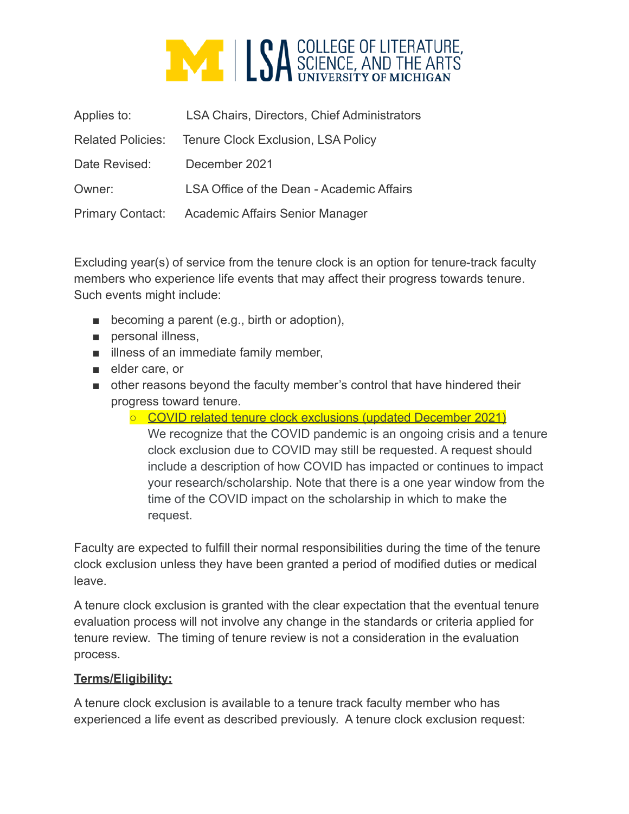

| Applies to:              | <b>LSA Chairs, Directors, Chief Administrators</b> |
|--------------------------|----------------------------------------------------|
| <b>Related Policies:</b> | <b>Tenure Clock Exclusion, LSA Policy</b>          |
| Date Revised:            | December 2021                                      |
| Owner:                   | LSA Office of the Dean - Academic Affairs          |
| <b>Primary Contact:</b>  | Academic Affairs Senior Manager                    |

Excluding year(s) of service from the tenure clock is an option for tenure-track faculty members who experience life events that may affect their progress towards tenure. Such events might include:

- becoming a parent (e.g., birth or adoption),
- personal illness,
- illness of an immediate family member,
- elder care, or
- other reasons beyond the faculty member's control that have hindered their progress toward tenure.
	- COVID related tenure clock exclusions (updated December 2021) We recognize that the COVID pandemic is an ongoing crisis and a tenure
		- clock exclusion due to COVID may still be requested. A request should include a description of how COVID has impacted or continues to impact your research/scholarship. Note that there is a one year window from the time of the COVID impact on the scholarship in which to make the request.

Faculty are expected to fulfill their normal responsibilities during the time of the tenure clock exclusion unless they have been granted a period of modified duties or medical leave.

A tenure clock exclusion is granted with the clear expectation that the eventual tenure evaluation process will not involve any change in the standards or criteria applied for tenure review. The timing of tenure review is not a consideration in the evaluation process.

## **Terms/Eligibility:**

A tenure clock exclusion is available to a tenure track faculty member who has experienced a life event as described previously. A tenure clock exclusion request: